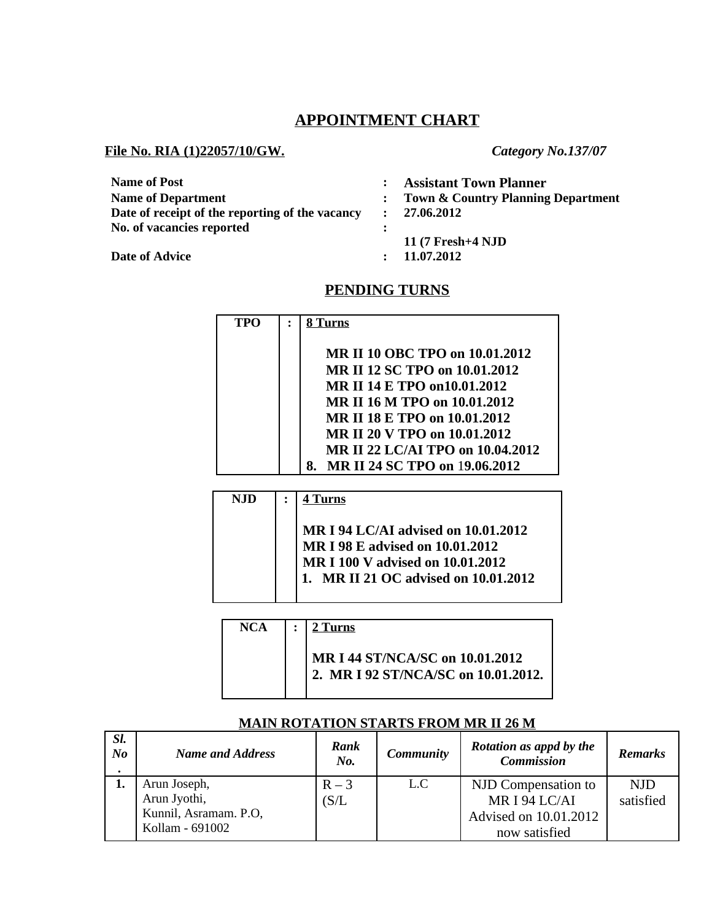# **APPOINTMENT CHART**

### **File No. RIA (1)22057/10/GW.** *Category No.137/07*

| <b>Name of Post</b>                             |              | <b>Assistant Town Planner</b>                 |
|-------------------------------------------------|--------------|-----------------------------------------------|
| <b>Name of Department</b>                       |              |                                               |
|                                                 |              | <b>Town &amp; Country Planning Department</b> |
| Date of receipt of the reporting of the vacancy | $\mathbf{r}$ | 27.06.2012                                    |
| No. of vacancies reported                       |              |                                               |
|                                                 |              | 11 (7 Fresh+4 NJD                             |
| <b>Date of Advice</b>                           |              | 11.07.2012                                    |

### **PENDING TURNS**

| TPO | Turns                               |
|-----|-------------------------------------|
|     | MR II 10 OBC TPO on 10.01.2012      |
|     |                                     |
|     | MR II 12 SC TPO on 10.01.2012       |
|     | MR II 14 E TPO on 10.01.2012        |
|     | MR II 16 M TPO on 10.01.2012        |
|     | MR II 18 F. TPO on 10.01.2012       |
|     | MR II 20 V TPO on 10.01.2012        |
|     | MR II 22 LC/AI TPO on 10.04.2012    |
|     | MR II 24 SC TPO on 19.06.2012<br>8. |
|     |                                     |

| <b>NJD</b> | 4 Turns                                                                                                                                            |
|------------|----------------------------------------------------------------------------------------------------------------------------------------------------|
|            | MR I 94 LC/AI advised on 10.01.2012<br>MR I 98 E advised on 10.01.2012<br>MR I 100 V advised on 10.01.2012<br>1. MR II 21 OC advised on 10.01.2012 |

| NCA | $\mathcal{L}$ | 2 $Turns$                                                              |
|-----|---------------|------------------------------------------------------------------------|
|     |               | MR I 44 ST/NCA/SC on 10.01.2012<br>2. MR I 92 ST/NCA/SC on 10.01.2012. |

### *Sl. No . Name and Address* **Rank** *No. Community* **Rotation as appd by the** *Commission Remarks* **1.** Arun Joseph, Arun Jyothi, Kunnil, Asramam. P.O, Kollam - 691002  $R - 3$  $(S/L)$ L.C NJD Compensation to MR I 94 LC/AI Advised on 10.01.2012 now satisfied NJD satisfied

### **MAIN ROTATION STARTS FROM MR II 26 M**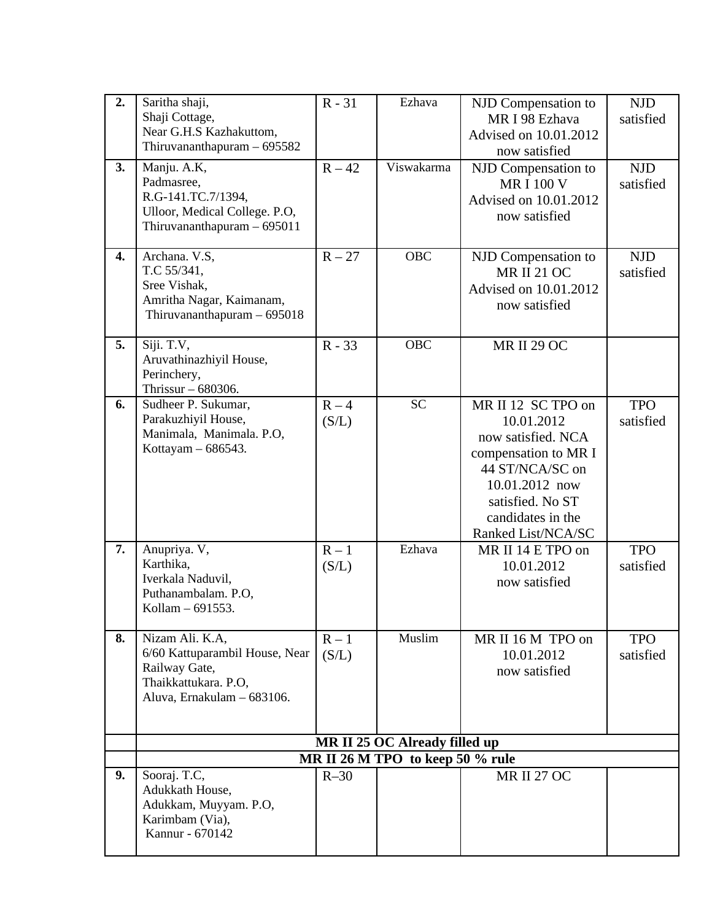| 2. | Saritha shaji,<br>Shaji Cottage,<br>Near G.H.S Kazhakuttom,<br>Thiruvananthapuram - 695582                               | $R - 31$         | Ezhava     | NJD Compensation to<br>MR I 98 Ezhava<br>Advised on 10.01.2012<br>now satisfied                                                                                                    | <b>NJD</b><br>satisfied |  |  |
|----|--------------------------------------------------------------------------------------------------------------------------|------------------|------------|------------------------------------------------------------------------------------------------------------------------------------------------------------------------------------|-------------------------|--|--|
| 3. | Manju. A.K,<br>Padmasree,<br>R.G-141.TC.7/1394,<br>Ulloor, Medical College. P.O,<br>Thiruvananthapuram - 695011          | $R - 42$         | Viswakarma | NJD Compensation to<br><b>MRI 100 V</b><br>Advised on 10.01.2012<br>now satisfied                                                                                                  | <b>NJD</b><br>satisfied |  |  |
| 4. | Archana. V.S,<br>T.C 55/341,<br>Sree Vishak,<br>Amritha Nagar, Kaimanam,<br>Thiruvananthapuram - 695018                  | $R - 27$         | <b>OBC</b> | NJD Compensation to<br><b>MR II 21 OC</b><br>Advised on 10.01.2012<br>now satisfied                                                                                                | <b>NJD</b><br>satisfied |  |  |
| 5. | Siji. T.V,<br>Aruvathinazhiyil House,<br>Perinchery,<br>Thrissur - 680306.                                               | $R - 33$         | <b>OBC</b> | <b>MR II 29 OC</b>                                                                                                                                                                 |                         |  |  |
| 6. | Sudheer P. Sukumar,<br>Parakuzhiyil House,<br>Manimala, Manimala. P.O,<br>Kottayam - 686543.                             | $R - 4$<br>(S/L) | <b>SC</b>  | MR II 12 SC TPO on<br>10.01.2012<br>now satisfied. NCA<br>compensation to MR I<br>44 ST/NCA/SC on<br>10.01.2012 now<br>satisfied. No ST<br>candidates in the<br>Ranked List/NCA/SC | <b>TPO</b><br>satisfied |  |  |
| 7. | Anupriya. V,<br>Karthika,<br>Iverkala Naduvil,<br>Puthanambalam. P.O,<br>Kollam - 691553.                                | $R - 1$<br>(S/L) | Ezhava     | MR II 14 E TPO on<br>10.01.2012<br>now satisfied                                                                                                                                   | <b>TPO</b><br>satisfied |  |  |
| 8. | Nizam Ali. K.A,<br>6/60 Kattuparambil House, Near<br>Railway Gate,<br>Thaikkattukara. P.O,<br>Aluva, Ernakulam - 683106. | $R - 1$<br>(S/L) | Muslim     | MR II 16 M TPO on<br>10.01.2012<br>now satisfied                                                                                                                                   | <b>TPO</b><br>satisfied |  |  |
|    | MR II 25 OC Already filled up<br>MR II 26 M TPO to keep 50 % rule                                                        |                  |            |                                                                                                                                                                                    |                         |  |  |
| 9. | Sooraj. T.C,<br>Adukkath House,<br>Adukkam, Muyyam. P.O,<br>Karimbam (Via),<br>Kannur - 670142                           | $R-30$           |            | <b>MR II 27 OC</b>                                                                                                                                                                 |                         |  |  |